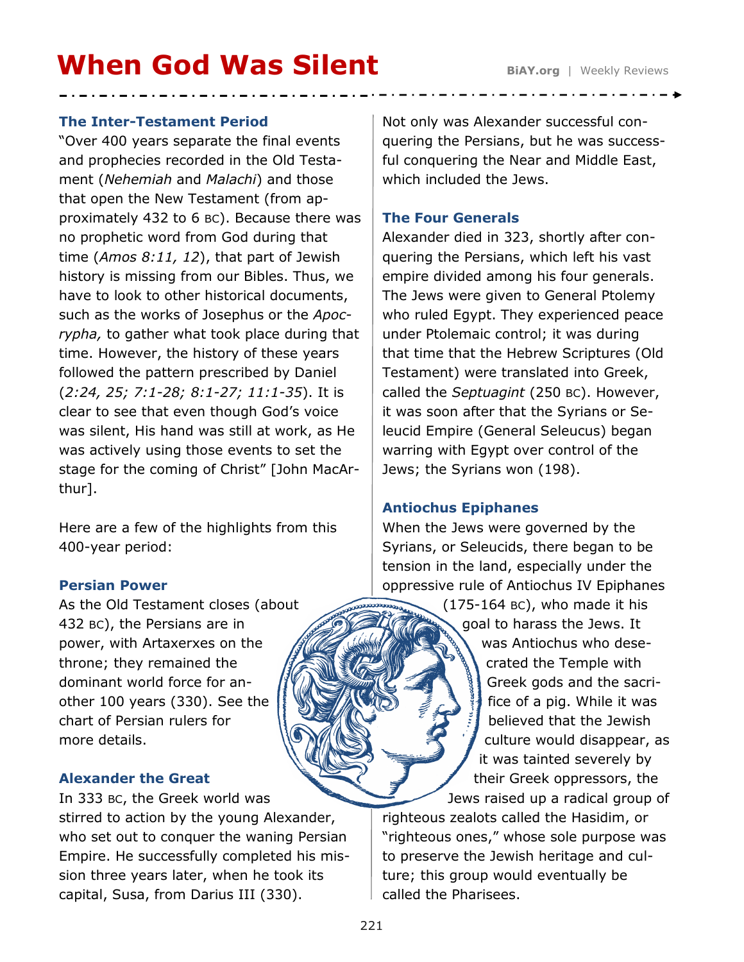# **When God Was Silent** BiAY.org | Weekly Reviews

#### **The Inter-Testament Period**

"Over 400 years separate the final events and prophecies recorded in the Old Testament (*Nehemiah* and *Malachi*) and those that open the New Testament (from approximately 432 to 6 BC). Because there was no prophetic word from God during that time (*Amos 8:11, 12*), that part of Jewish history is missing from our Bibles. Thus, we have to look to other historical documents, such as the works of Josephus or the *Apocrypha,* to gather what took place during that time. However, the history of these years followed the pattern prescribed by Daniel (*2:24, 25; 7:1-28; 8:1-27; 11:1-35*). It is clear to see that even though God's voice was silent, His hand was still at work, as He was actively using those events to set the stage for the coming of Christ" [John MacArthur].

Here are a few of the highlights from this 400-year period:

## **Persian Power**

As the Old Testament closes (about 432 BC), the Persians are in power, with Artaxerxes on the throne; they remained the dominant world force for another 100 years (330). See the chart of Persian rulers for more details.

## **Alexander the Great**

In 333 BC, the Greek world was stirred to action by the young Alexander, who set out to conquer the waning Persian Empire. He successfully completed his mission three years later, when he took its capital, Susa, from Darius III (330).

Not only was Alexander successful conquering the Persians, but he was successful conquering the Near and Middle East, which included the Jews.

## **The Four Generals**

Alexander died in 323, shortly after conquering the Persians, which left his vast empire divided among his four generals. The Jews were given to General Ptolemy who ruled Egypt. They experienced peace under Ptolemaic control; it was during that time that the Hebrew Scriptures (Old Testament) were translated into Greek, called the *Septuagint* (250 BC). However, it was soon after that the Syrians or Seleucid Empire (General Seleucus) began warring with Egypt over control of the Jews; the Syrians won (198).

## **Antiochus Epiphanes**

When the Jews were governed by the Syrians, or Seleucids, there began to be tension in the land, especially under the oppressive rule of Antiochus IV Epiphanes

> (175-164 BC), who made it his goal to harass the Jews. It was Antiochus who desecrated the Temple with Greek gods and the sacrifice of a pig. While it was believed that the Jewish culture would disappear, as it was tainted severely by their Greek oppressors, the Jews raised up a radical group of

righteous zealots called the Hasidim, or "righteous ones," whose sole purpose was to preserve the Jewish heritage and culture; this group would eventually be called the Pharisees.